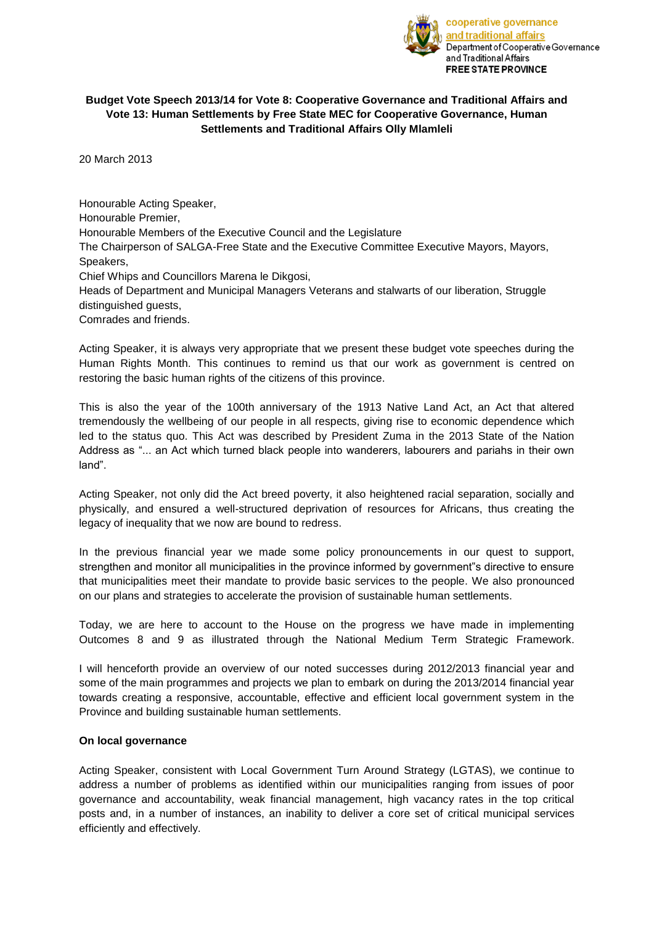

# **Budget Vote Speech 2013/14 for Vote 8: Cooperative Governance and Traditional Affairs and Vote 13: Human Settlements by Free State MEC for Cooperative Governance, Human Settlements and Traditional Affairs Olly Mlamleli**

20 March 2013

Honourable Acting Speaker, Honourable Premier, Honourable Members of the Executive Council and the Legislature The Chairperson of SALGA-Free State and the Executive Committee Executive Mayors, Mayors, Speakers, Chief Whips and Councillors Marena le Dikgosi, Heads of Department and Municipal Managers Veterans and stalwarts of our liberation, Struggle distinguished guests,

Comrades and friends.

Acting Speaker, it is always very appropriate that we present these budget vote speeches during the Human Rights Month. This continues to remind us that our work as government is centred on restoring the basic human rights of the citizens of this province.

This is also the year of the 100th anniversary of the 1913 Native Land Act, an Act that altered tremendously the wellbeing of our people in all respects, giving rise to economic dependence which led to the status quo. This Act was described by President Zuma in the 2013 State of the Nation Address as "... an Act which turned black people into wanderers, labourers and pariahs in their own land".

Acting Speaker, not only did the Act breed poverty, it also heightened racial separation, socially and physically, and ensured a well-structured deprivation of resources for Africans, thus creating the legacy of inequality that we now are bound to redress.

In the previous financial year we made some policy pronouncements in our quest to support, strengthen and monitor all municipalities in the province informed by government"s directive to ensure that municipalities meet their mandate to provide basic services to the people. We also pronounced on our plans and strategies to accelerate the provision of sustainable human settlements.

Today, we are here to account to the House on the progress we have made in implementing Outcomes 8 and 9 as illustrated through the National Medium Term Strategic Framework.

I will henceforth provide an overview of our noted successes during 2012/2013 financial year and some of the main programmes and projects we plan to embark on during the 2013/2014 financial year towards creating a responsive, accountable, effective and efficient local government system in the Province and building sustainable human settlements.

#### **On local governance**

Acting Speaker, consistent with Local Government Turn Around Strategy (LGTAS), we continue to address a number of problems as identified within our municipalities ranging from issues of poor governance and accountability, weak financial management, high vacancy rates in the top critical posts and, in a number of instances, an inability to deliver a core set of critical municipal services efficiently and effectively.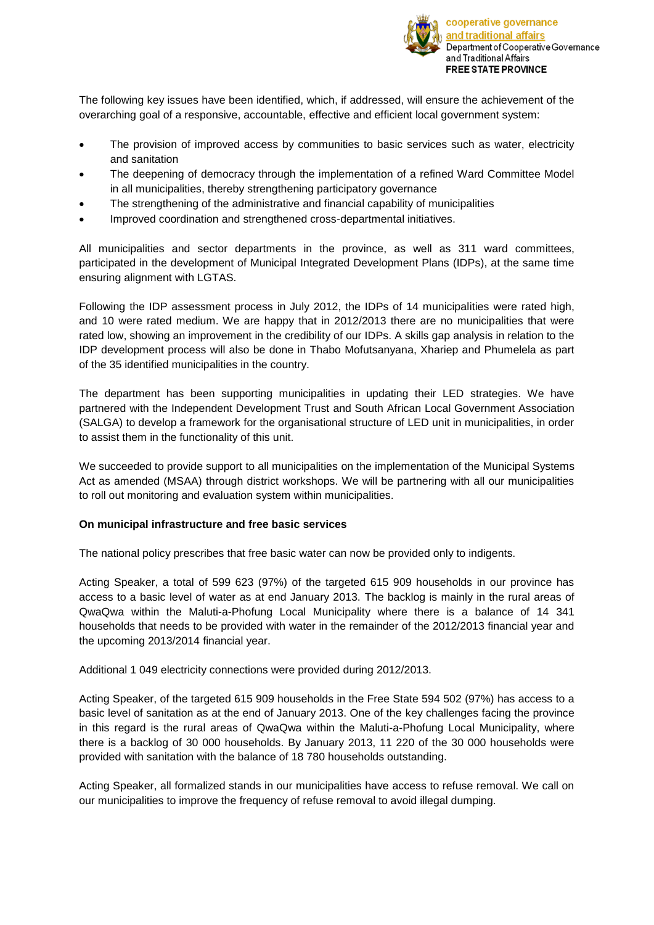

The following key issues have been identified, which, if addressed, will ensure the achievement of the overarching goal of a responsive, accountable, effective and efficient local government system:

- The provision of improved access by communities to basic services such as water, electricity and sanitation
- The deepening of democracy through the implementation of a refined Ward Committee Model in all municipalities, thereby strengthening participatory governance
- The strengthening of the administrative and financial capability of municipalities
- Improved coordination and strengthened cross-departmental initiatives.

All municipalities and sector departments in the province, as well as 311 ward committees, participated in the development of Municipal Integrated Development Plans (IDPs), at the same time ensuring alignment with LGTAS.

Following the IDP assessment process in July 2012, the IDPs of 14 municipalities were rated high, and 10 were rated medium. We are happy that in 2012/2013 there are no municipalities that were rated low, showing an improvement in the credibility of our IDPs. A skills gap analysis in relation to the IDP development process will also be done in Thabo Mofutsanyana, Xhariep and Phumelela as part of the 35 identified municipalities in the country.

The department has been supporting municipalities in updating their LED strategies. We have partnered with the Independent Development Trust and South African Local Government Association (SALGA) to develop a framework for the organisational structure of LED unit in municipalities, in order to assist them in the functionality of this unit.

We succeeded to provide support to all municipalities on the implementation of the Municipal Systems Act as amended (MSAA) through district workshops. We will be partnering with all our municipalities to roll out monitoring and evaluation system within municipalities.

# **On municipal infrastructure and free basic services**

The national policy prescribes that free basic water can now be provided only to indigents.

Acting Speaker, a total of 599 623 (97%) of the targeted 615 909 households in our province has access to a basic level of water as at end January 2013. The backlog is mainly in the rural areas of QwaQwa within the Maluti-a-Phofung Local Municipality where there is a balance of 14 341 households that needs to be provided with water in the remainder of the 2012/2013 financial year and the upcoming 2013/2014 financial year.

Additional 1 049 electricity connections were provided during 2012/2013.

Acting Speaker, of the targeted 615 909 households in the Free State 594 502 (97%) has access to a basic level of sanitation as at the end of January 2013. One of the key challenges facing the province in this regard is the rural areas of QwaQwa within the Maluti-a-Phofung Local Municipality, where there is a backlog of 30 000 households. By January 2013, 11 220 of the 30 000 households were provided with sanitation with the balance of 18 780 households outstanding.

Acting Speaker, all formalized stands in our municipalities have access to refuse removal. We call on our municipalities to improve the frequency of refuse removal to avoid illegal dumping.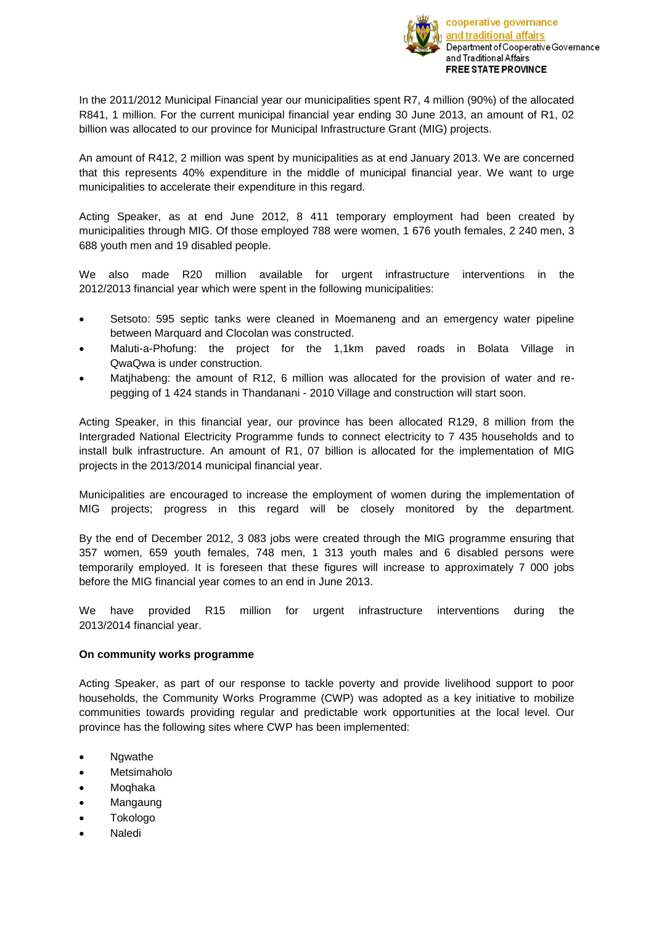

In the 2011/2012 Municipal Financial year our municipalities spent R7, 4 million (90%) of the allocated R841, 1 million. For the current municipal financial year ending 30 June 2013, an amount of R1, 02 billion was allocated to our province for Municipal Infrastructure Grant (MIG) projects.

An amount of R412, 2 million was spent by municipalities as at end January 2013. We are concerned that this represents 40% expenditure in the middle of municipal financial year. We want to urge municipalities to accelerate their expenditure in this regard.

Acting Speaker, as at end June 2012, 8 411 temporary employment had been created by municipalities through MIG. Of those employed 788 were women, 1 676 youth females, 2 240 men, 3 688 youth men and 19 disabled people.

We also made R20 million available for urgent infrastructure interventions in the 2012/2013 financial year which were spent in the following municipalities:

- Setsoto: 595 septic tanks were cleaned in Moemaneng and an emergency water pipeline between Marquard and Clocolan was constructed.
- Maluti-a-Phofung: the project for the 1,1km paved roads in Bolata Village in QwaQwa is under construction.
- Matjhabeng: the amount of R12, 6 million was allocated for the provision of water and repegging of 1 424 stands in Thandanani - 2010 Village and construction will start soon.

Acting Speaker, in this financial year, our province has been allocated R129, 8 million from the Intergraded National Electricity Programme funds to connect electricity to 7 435 households and to install bulk infrastructure. An amount of R1, 07 billion is allocated for the implementation of MIG projects in the 2013/2014 municipal financial year.

Municipalities are encouraged to increase the employment of women during the implementation of MIG projects; progress in this regard will be closely monitored by the department.

By the end of December 2012, 3 083 jobs were created through the MIG programme ensuring that 357 women, 659 youth females, 748 men, 1 313 youth males and 6 disabled persons were temporarily employed. It is foreseen that these figures will increase to approximately 7 000 jobs before the MIG financial year comes to an end in June 2013.

We have provided R15 million for urgent infrastructure interventions during the 2013/2014 financial year.

# **On community works programme**

Acting Speaker, as part of our response to tackle poverty and provide livelihood support to poor households, the Community Works Programme (CWP) was adopted as a key initiative to mobilize communities towards providing regular and predictable work opportunities at the local level. Our province has the following sites where CWP has been implemented:

- Ngwathe
- Metsimaholo
- Moqhaka
- Mangaung
- Tokologo
- Naledi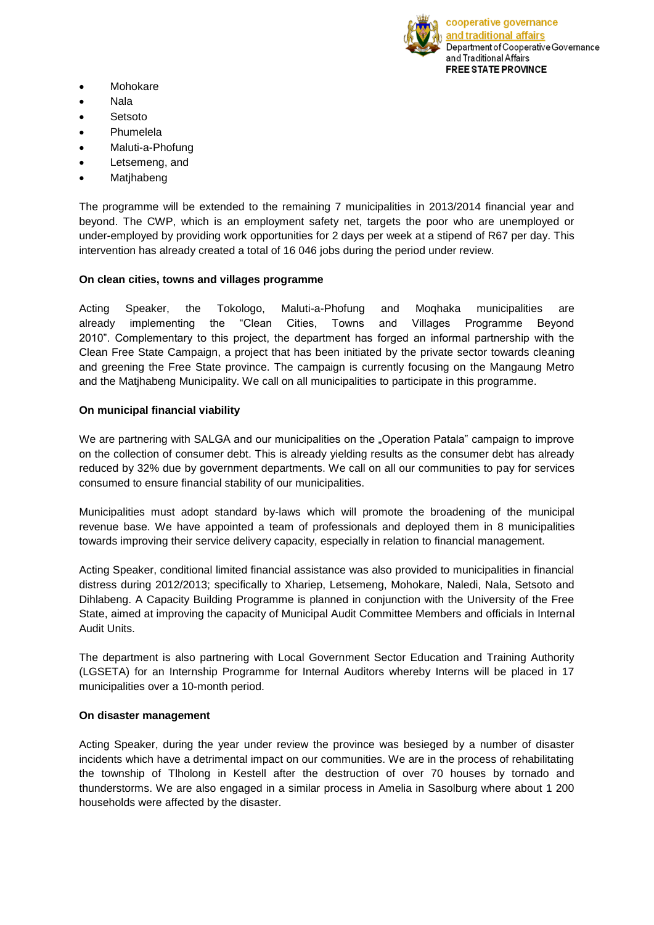

- Mohokare
- Nala
- Setsoto
- Phumelela
- Maluti-a-Phofung
- Letsemeng, and
- Matjhabeng

The programme will be extended to the remaining 7 municipalities in 2013/2014 financial year and beyond. The CWP, which is an employment safety net, targets the poor who are unemployed or under-employed by providing work opportunities for 2 days per week at a stipend of R67 per day. This intervention has already created a total of 16 046 jobs during the period under review.

## **On clean cities, towns and villages programme**

Acting Speaker, the Tokologo, Maluti-a-Phofung and Moqhaka municipalities are already implementing the "Clean Cities, Towns and Villages Programme Beyond 2010". Complementary to this project, the department has forged an informal partnership with the Clean Free State Campaign, a project that has been initiated by the private sector towards cleaning and greening the Free State province. The campaign is currently focusing on the Mangaung Metro and the Matjhabeng Municipality. We call on all municipalities to participate in this programme.

## **On municipal financial viability**

We are partnering with SALGA and our municipalities on the "Operation Patala" campaign to improve on the collection of consumer debt. This is already yielding results as the consumer debt has already reduced by 32% due by government departments. We call on all our communities to pay for services consumed to ensure financial stability of our municipalities.

Municipalities must adopt standard by-laws which will promote the broadening of the municipal revenue base. We have appointed a team of professionals and deployed them in 8 municipalities towards improving their service delivery capacity, especially in relation to financial management.

Acting Speaker, conditional limited financial assistance was also provided to municipalities in financial distress during 2012/2013; specifically to Xhariep, Letsemeng, Mohokare, Naledi, Nala, Setsoto and Dihlabeng. A Capacity Building Programme is planned in conjunction with the University of the Free State, aimed at improving the capacity of Municipal Audit Committee Members and officials in Internal Audit Units.

The department is also partnering with Local Government Sector Education and Training Authority (LGSETA) for an Internship Programme for Internal Auditors whereby Interns will be placed in 17 municipalities over a 10-month period.

#### **On disaster management**

Acting Speaker, during the year under review the province was besieged by a number of disaster incidents which have a detrimental impact on our communities. We are in the process of rehabilitating the township of Tlholong in Kestell after the destruction of over 70 houses by tornado and thunderstorms. We are also engaged in a similar process in Amelia in Sasolburg where about 1 200 households were affected by the disaster.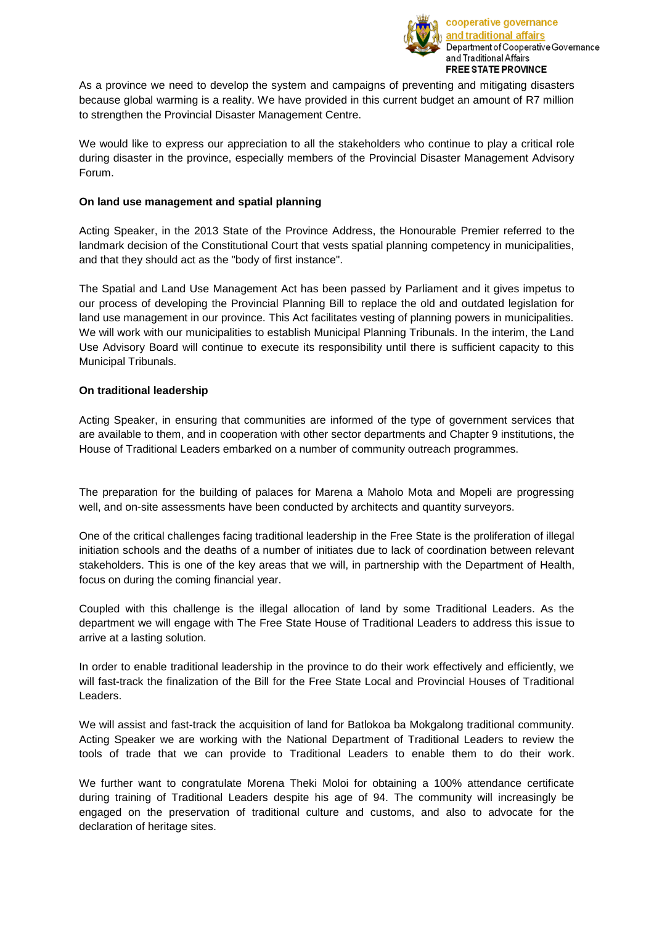

As a province we need to develop the system and campaigns of preventing and mitigating disasters because global warming is a reality. We have provided in this current budget an amount of R7 million to strengthen the Provincial Disaster Management Centre.

We would like to express our appreciation to all the stakeholders who continue to play a critical role during disaster in the province, especially members of the Provincial Disaster Management Advisory Forum.

# **On land use management and spatial planning**

Acting Speaker, in the 2013 State of the Province Address, the Honourable Premier referred to the landmark decision of the Constitutional Court that vests spatial planning competency in municipalities, and that they should act as the "body of first instance".

The Spatial and Land Use Management Act has been passed by Parliament and it gives impetus to our process of developing the Provincial Planning Bill to replace the old and outdated legislation for land use management in our province. This Act facilitates vesting of planning powers in municipalities. We will work with our municipalities to establish Municipal Planning Tribunals. In the interim, the Land Use Advisory Board will continue to execute its responsibility until there is sufficient capacity to this Municipal Tribunals.

## **On traditional leadership**

Acting Speaker, in ensuring that communities are informed of the type of government services that are available to them, and in cooperation with other sector departments and Chapter 9 institutions, the House of Traditional Leaders embarked on a number of community outreach programmes.

The preparation for the building of palaces for Marena a Maholo Mota and Mopeli are progressing well, and on-site assessments have been conducted by architects and quantity surveyors.

One of the critical challenges facing traditional leadership in the Free State is the proliferation of illegal initiation schools and the deaths of a number of initiates due to lack of coordination between relevant stakeholders. This is one of the key areas that we will, in partnership with the Department of Health, focus on during the coming financial year.

Coupled with this challenge is the illegal allocation of land by some Traditional Leaders. As the department we will engage with The Free State House of Traditional Leaders to address this issue to arrive at a lasting solution.

In order to enable traditional leadership in the province to do their work effectively and efficiently, we will fast-track the finalization of the Bill for the Free State Local and Provincial Houses of Traditional Leaders.

We will assist and fast-track the acquisition of land for Batlokoa ba Mokgalong traditional community. Acting Speaker we are working with the National Department of Traditional Leaders to review the tools of trade that we can provide to Traditional Leaders to enable them to do their work.

We further want to congratulate Morena Theki Moloi for obtaining a 100% attendance certificate during training of Traditional Leaders despite his age of 94. The community will increasingly be engaged on the preservation of traditional culture and customs, and also to advocate for the declaration of heritage sites.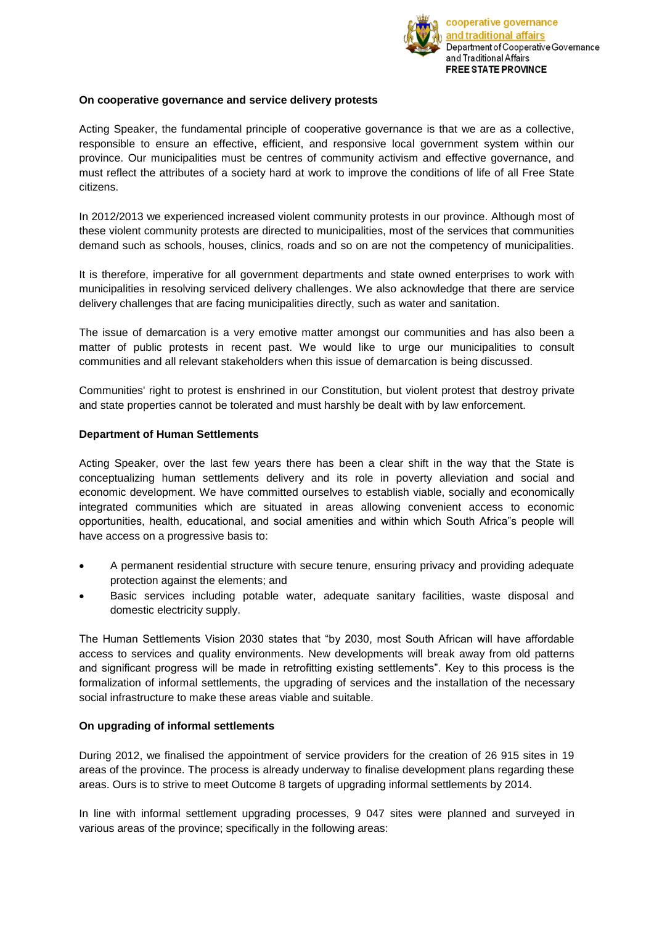

## **On cooperative governance and service delivery protests**

Acting Speaker, the fundamental principle of cooperative governance is that we are as a collective, responsible to ensure an effective, efficient, and responsive local government system within our province. Our municipalities must be centres of community activism and effective governance, and must reflect the attributes of a society hard at work to improve the conditions of life of all Free State citizens.

In 2012/2013 we experienced increased violent community protests in our province. Although most of these violent community protests are directed to municipalities, most of the services that communities demand such as schools, houses, clinics, roads and so on are not the competency of municipalities.

It is therefore, imperative for all government departments and state owned enterprises to work with municipalities in resolving serviced delivery challenges. We also acknowledge that there are service delivery challenges that are facing municipalities directly, such as water and sanitation.

The issue of demarcation is a very emotive matter amongst our communities and has also been a matter of public protests in recent past. We would like to urge our municipalities to consult communities and all relevant stakeholders when this issue of demarcation is being discussed.

Communities' right to protest is enshrined in our Constitution, but violent protest that destroy private and state properties cannot be tolerated and must harshly be dealt with by law enforcement.

## **Department of Human Settlements**

Acting Speaker, over the last few years there has been a clear shift in the way that the State is conceptualizing human settlements delivery and its role in poverty alleviation and social and economic development. We have committed ourselves to establish viable, socially and economically integrated communities which are situated in areas allowing convenient access to economic opportunities, health, educational, and social amenities and within which South Africa"s people will have access on a progressive basis to:

- A permanent residential structure with secure tenure, ensuring privacy and providing adequate protection against the elements; and
- Basic services including potable water, adequate sanitary facilities, waste disposal and domestic electricity supply.

The Human Settlements Vision 2030 states that "by 2030, most South African will have affordable access to services and quality environments. New developments will break away from old patterns and significant progress will be made in retrofitting existing settlements". Key to this process is the formalization of informal settlements, the upgrading of services and the installation of the necessary social infrastructure to make these areas viable and suitable.

# **On upgrading of informal settlements**

During 2012, we finalised the appointment of service providers for the creation of 26 915 sites in 19 areas of the province. The process is already underway to finalise development plans regarding these areas. Ours is to strive to meet Outcome 8 targets of upgrading informal settlements by 2014.

In line with informal settlement upgrading processes, 9 047 sites were planned and surveyed in various areas of the province; specifically in the following areas: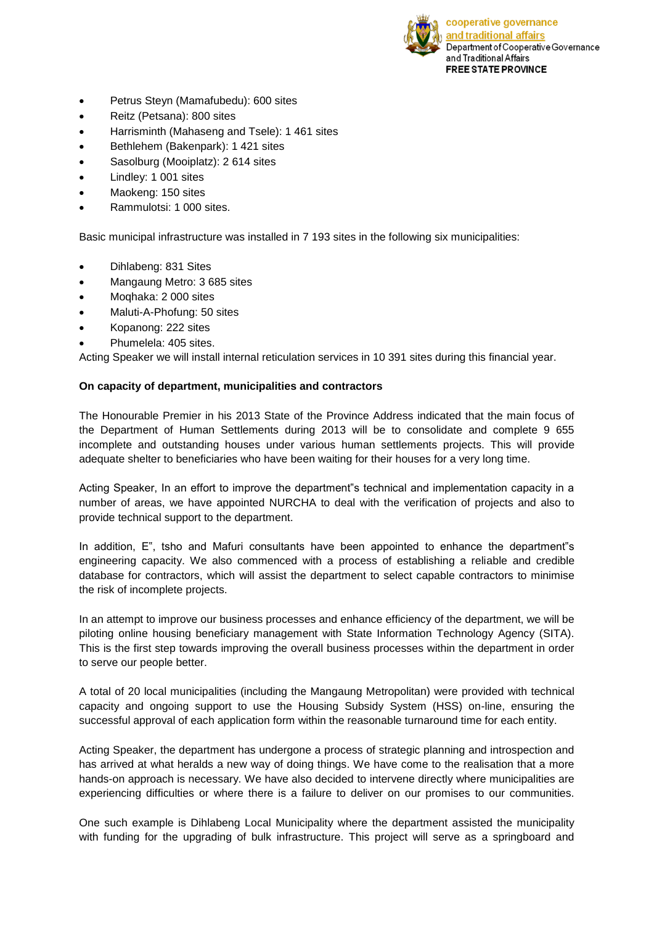

- Petrus Steyn (Mamafubedu): 600 sites
- Reitz (Petsana): 800 sites
- Harrisminth (Mahaseng and Tsele): 1 461 sites
- Bethlehem (Bakenpark): 1 421 sites
- Sasolburg (Mooiplatz): 2 614 sites
- Lindley: 1 001 sites
- Maokeng: 150 sites
- Rammulotsi: 1 000 sites.

Basic municipal infrastructure was installed in 7 193 sites in the following six municipalities:

- Dihlabeng: 831 Sites
- Mangaung Metro: 3 685 sites
- Moqhaka: 2 000 sites
- Maluti-A-Phofung: 50 sites
- Kopanong: 222 sites
- Phumelela: 405 sites.

Acting Speaker we will install internal reticulation services in 10 391 sites during this financial year.

## **On capacity of department, municipalities and contractors**

The Honourable Premier in his 2013 State of the Province Address indicated that the main focus of the Department of Human Settlements during 2013 will be to consolidate and complete 9 655 incomplete and outstanding houses under various human settlements projects. This will provide adequate shelter to beneficiaries who have been waiting for their houses for a very long time.

Acting Speaker, In an effort to improve the department"s technical and implementation capacity in a number of areas, we have appointed NURCHA to deal with the verification of projects and also to provide technical support to the department.

In addition, E", tsho and Mafuri consultants have been appointed to enhance the department"s engineering capacity. We also commenced with a process of establishing a reliable and credible database for contractors, which will assist the department to select capable contractors to minimise the risk of incomplete projects.

In an attempt to improve our business processes and enhance efficiency of the department, we will be piloting online housing beneficiary management with State Information Technology Agency (SITA). This is the first step towards improving the overall business processes within the department in order to serve our people better.

A total of 20 local municipalities (including the Mangaung Metropolitan) were provided with technical capacity and ongoing support to use the Housing Subsidy System (HSS) on-line, ensuring the successful approval of each application form within the reasonable turnaround time for each entity.

Acting Speaker, the department has undergone a process of strategic planning and introspection and has arrived at what heralds a new way of doing things. We have come to the realisation that a more hands-on approach is necessary. We have also decided to intervene directly where municipalities are experiencing difficulties or where there is a failure to deliver on our promises to our communities.

One such example is Dihlabeng Local Municipality where the department assisted the municipality with funding for the upgrading of bulk infrastructure. This project will serve as a springboard and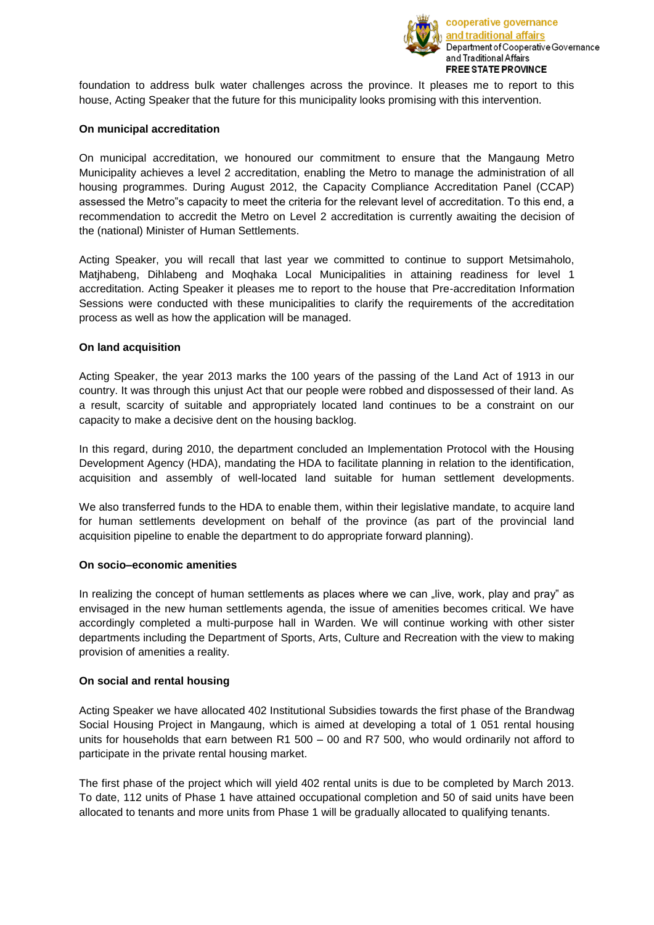

foundation to address bulk water challenges across the province. It pleases me to report to this house, Acting Speaker that the future for this municipality looks promising with this intervention.

#### **On municipal accreditation**

On municipal accreditation, we honoured our commitment to ensure that the Mangaung Metro Municipality achieves a level 2 accreditation, enabling the Metro to manage the administration of all housing programmes. During August 2012, the Capacity Compliance Accreditation Panel (CCAP) assessed the Metro"s capacity to meet the criteria for the relevant level of accreditation. To this end, a recommendation to accredit the Metro on Level 2 accreditation is currently awaiting the decision of the (national) Minister of Human Settlements.

Acting Speaker, you will recall that last year we committed to continue to support Metsimaholo, Matjhabeng, Dihlabeng and Moqhaka Local Municipalities in attaining readiness for level 1 accreditation. Acting Speaker it pleases me to report to the house that Pre-accreditation Information Sessions were conducted with these municipalities to clarify the requirements of the accreditation process as well as how the application will be managed.

## **On land acquisition**

Acting Speaker, the year 2013 marks the 100 years of the passing of the Land Act of 1913 in our country. It was through this unjust Act that our people were robbed and dispossessed of their land. As a result, scarcity of suitable and appropriately located land continues to be a constraint on our capacity to make a decisive dent on the housing backlog.

In this regard, during 2010, the department concluded an Implementation Protocol with the Housing Development Agency (HDA), mandating the HDA to facilitate planning in relation to the identification, acquisition and assembly of well-located land suitable for human settlement developments.

We also transferred funds to the HDA to enable them, within their legislative mandate, to acquire land for human settlements development on behalf of the province (as part of the provincial land acquisition pipeline to enable the department to do appropriate forward planning).

#### **On socio–economic amenities**

In realizing the concept of human settlements as places where we can "live, work, play and pray" as envisaged in the new human settlements agenda, the issue of amenities becomes critical. We have accordingly completed a multi-purpose hall in Warden. We will continue working with other sister departments including the Department of Sports, Arts, Culture and Recreation with the view to making provision of amenities a reality.

#### **On social and rental housing**

Acting Speaker we have allocated 402 Institutional Subsidies towards the first phase of the Brandwag Social Housing Project in Mangaung, which is aimed at developing a total of 1 051 rental housing units for households that earn between R1 500 – 00 and R7 500, who would ordinarily not afford to participate in the private rental housing market.

The first phase of the project which will yield 402 rental units is due to be completed by March 2013. To date, 112 units of Phase 1 have attained occupational completion and 50 of said units have been allocated to tenants and more units from Phase 1 will be gradually allocated to qualifying tenants.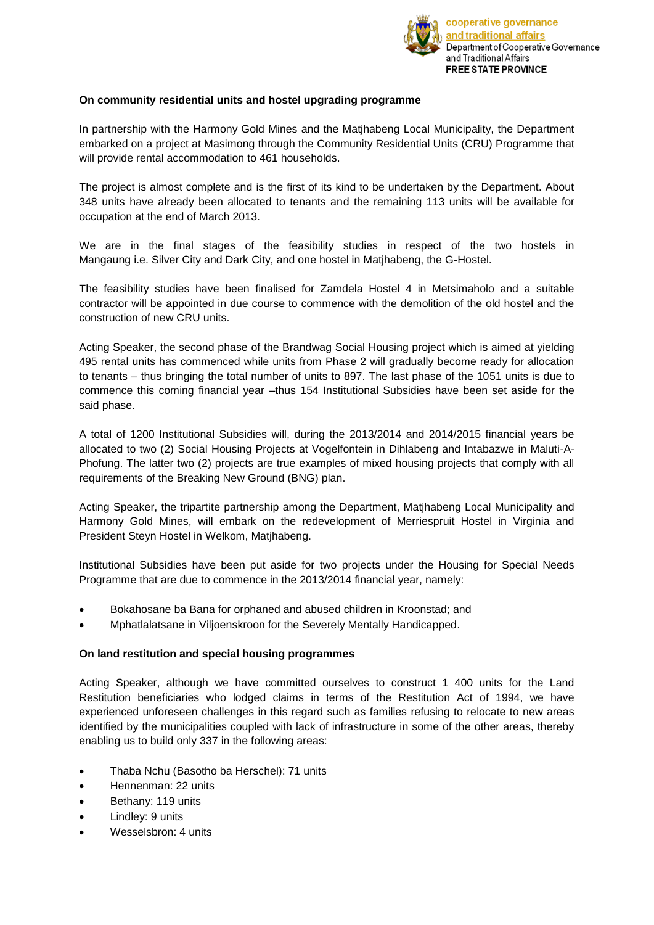

# **On community residential units and hostel upgrading programme**

In partnership with the Harmony Gold Mines and the Matjhabeng Local Municipality, the Department embarked on a project at Masimong through the Community Residential Units (CRU) Programme that will provide rental accommodation to 461 households.

The project is almost complete and is the first of its kind to be undertaken by the Department. About 348 units have already been allocated to tenants and the remaining 113 units will be available for occupation at the end of March 2013.

We are in the final stages of the feasibility studies in respect of the two hostels in Mangaung i.e. Silver City and Dark City, and one hostel in Matjhabeng, the G-Hostel.

The feasibility studies have been finalised for Zamdela Hostel 4 in Metsimaholo and a suitable contractor will be appointed in due course to commence with the demolition of the old hostel and the construction of new CRU units.

Acting Speaker, the second phase of the Brandwag Social Housing project which is aimed at yielding 495 rental units has commenced while units from Phase 2 will gradually become ready for allocation to tenants – thus bringing the total number of units to 897. The last phase of the 1051 units is due to commence this coming financial year –thus 154 Institutional Subsidies have been set aside for the said phase.

A total of 1200 Institutional Subsidies will, during the 2013/2014 and 2014/2015 financial years be allocated to two (2) Social Housing Projects at Vogelfontein in Dihlabeng and Intabazwe in Maluti-A-Phofung. The latter two (2) projects are true examples of mixed housing projects that comply with all requirements of the Breaking New Ground (BNG) plan.

Acting Speaker, the tripartite partnership among the Department, Matjhabeng Local Municipality and Harmony Gold Mines, will embark on the redevelopment of Merriespruit Hostel in Virginia and President Steyn Hostel in Welkom, Matjhabeng.

Institutional Subsidies have been put aside for two projects under the Housing for Special Needs Programme that are due to commence in the 2013/2014 financial year, namely:

- Bokahosane ba Bana for orphaned and abused children in Kroonstad; and
- Mphatlalatsane in Viljoenskroon for the Severely Mentally Handicapped.

#### **On land restitution and special housing programmes**

Acting Speaker, although we have committed ourselves to construct 1 400 units for the Land Restitution beneficiaries who lodged claims in terms of the Restitution Act of 1994, we have experienced unforeseen challenges in this regard such as families refusing to relocate to new areas identified by the municipalities coupled with lack of infrastructure in some of the other areas, thereby enabling us to build only 337 in the following areas:

- Thaba Nchu (Basotho ba Herschel): 71 units
- Hennenman: 22 units
- Bethany: 119 units
- Lindley: 9 units
- Wesselsbron: 4 units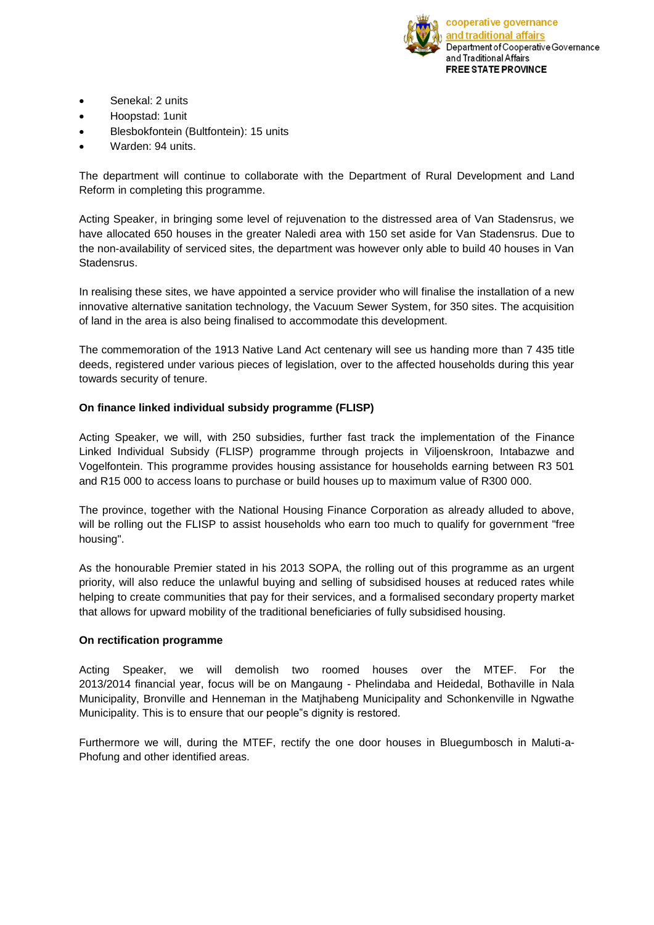

- Senekal: 2 units
- Hoopstad: 1unit
- Blesbokfontein (Bultfontein): 15 units
- Warden: 94 units.

The department will continue to collaborate with the Department of Rural Development and Land Reform in completing this programme.

Acting Speaker, in bringing some level of rejuvenation to the distressed area of Van Stadensrus, we have allocated 650 houses in the greater Naledi area with 150 set aside for Van Stadensrus. Due to the non-availability of serviced sites, the department was however only able to build 40 houses in Van **Stadensrus** 

In realising these sites, we have appointed a service provider who will finalise the installation of a new innovative alternative sanitation technology, the Vacuum Sewer System, for 350 sites. The acquisition of land in the area is also being finalised to accommodate this development.

The commemoration of the 1913 Native Land Act centenary will see us handing more than 7 435 title deeds, registered under various pieces of legislation, over to the affected households during this year towards security of tenure.

## **On finance linked individual subsidy programme (FLISP)**

Acting Speaker, we will, with 250 subsidies, further fast track the implementation of the Finance Linked Individual Subsidy (FLISP) programme through projects in Viljoenskroon, Intabazwe and Vogelfontein. This programme provides housing assistance for households earning between R3 501 and R15 000 to access loans to purchase or build houses up to maximum value of R300 000.

The province, together with the National Housing Finance Corporation as already alluded to above, will be rolling out the FLISP to assist households who earn too much to qualify for government "free housing".

As the honourable Premier stated in his 2013 SOPA, the rolling out of this programme as an urgent priority, will also reduce the unlawful buying and selling of subsidised houses at reduced rates while helping to create communities that pay for their services, and a formalised secondary property market that allows for upward mobility of the traditional beneficiaries of fully subsidised housing.

#### **On rectification programme**

Acting Speaker, we will demolish two roomed houses over the MTEF. For the 2013/2014 financial year, focus will be on Mangaung - Phelindaba and Heidedal, Bothaville in Nala Municipality, Bronville and Henneman in the Matjhabeng Municipality and Schonkenville in Ngwathe Municipality. This is to ensure that our people"s dignity is restored.

Furthermore we will, during the MTEF, rectify the one door houses in Bluegumbosch in Maluti-a-Phofung and other identified areas.